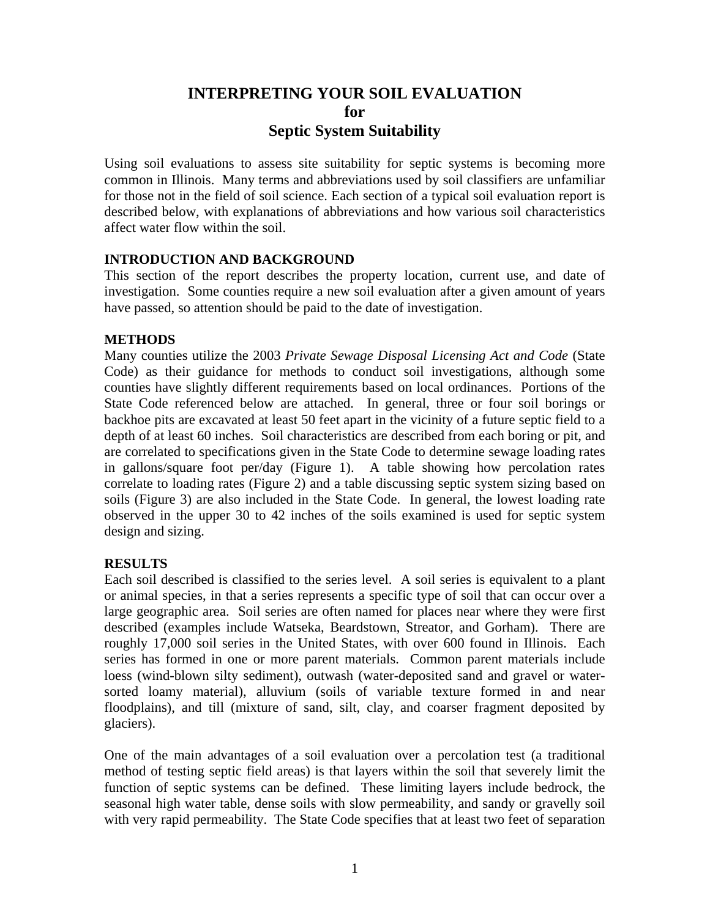# **INTERPRETING YOUR SOIL EVALUATION for Septic System Suitability**

Using soil evaluations to assess site suitability for septic systems is becoming more common in Illinois. Many terms and abbreviations used by soil classifiers are unfamiliar for those not in the field of soil science. Each section of a typical soil evaluation report is described below, with explanations of abbreviations and how various soil characteristics affect water flow within the soil.

#### **INTRODUCTION AND BACKGROUND**

This section of the report describes the property location, current use, and date of investigation. Some counties require a new soil evaluation after a given amount of years have passed, so attention should be paid to the date of investigation.

#### **METHODS**

Many counties utilize the 2003 *Private Sewage Disposal Licensing Act and Code* (State Code) as their guidance for methods to conduct soil investigations, although some counties have slightly different requirements based on local ordinances. Portions of the State Code referenced below are attached. In general, three or four soil borings or backhoe pits are excavated at least 50 feet apart in the vicinity of a future septic field to a depth of at least 60 inches. Soil characteristics are described from each boring or pit, and are correlated to specifications given in the State Code to determine sewage loading rates in gallons/square foot per/day (Figure 1). A table showing how percolation rates correlate to loading rates (Figure 2) and a table discussing septic system sizing based on soils (Figure 3) are also included in the State Code. In general, the lowest loading rate observed in the upper 30 to 42 inches of the soils examined is used for septic system design and sizing.

#### **RESULTS**

Each soil described is classified to the series level. A soil series is equivalent to a plant or animal species, in that a series represents a specific type of soil that can occur over a large geographic area. Soil series are often named for places near where they were first described (examples include Watseka, Beardstown, Streator, and Gorham). There are roughly 17,000 soil series in the United States, with over 600 found in Illinois. Each series has formed in one or more parent materials. Common parent materials include loess (wind-blown silty sediment), outwash (water-deposited sand and gravel or watersorted loamy material), alluvium (soils of variable texture formed in and near floodplains), and till (mixture of sand, silt, clay, and coarser fragment deposited by glaciers).

One of the main advantages of a soil evaluation over a percolation test (a traditional method of testing septic field areas) is that layers within the soil that severely limit the function of septic systems can be defined. These limiting layers include bedrock, the seasonal high water table, dense soils with slow permeability, and sandy or gravelly soil with very rapid permeability. The State Code specifies that at least two feet of separation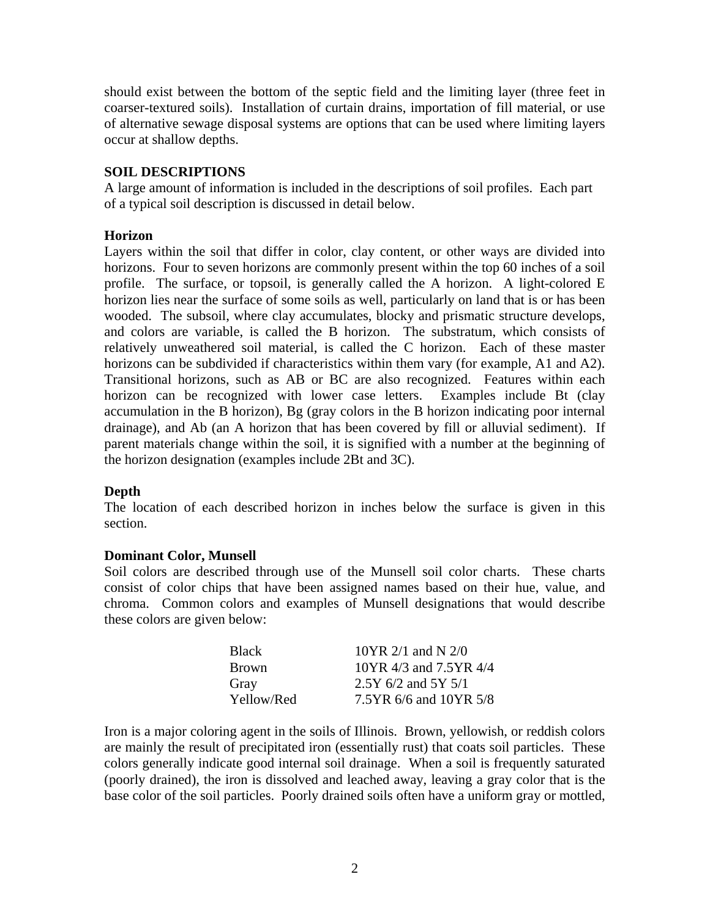should exist between the bottom of the septic field and the limiting layer (three feet in coarser-textured soils). Installation of curtain drains, importation of fill material, or use of alternative sewage disposal systems are options that can be used where limiting layers occur at shallow depths.

### **SOIL DESCRIPTIONS**

A large amount of information is included in the descriptions of soil profiles. Each part of a typical soil description is discussed in detail below.

#### **Horizon**

Layers within the soil that differ in color, clay content, or other ways are divided into horizons. Four to seven horizons are commonly present within the top 60 inches of a soil profile. The surface, or topsoil, is generally called the A horizon. A light-colored E horizon lies near the surface of some soils as well, particularly on land that is or has been wooded. The subsoil, where clay accumulates, blocky and prismatic structure develops, and colors are variable, is called the B horizon. The substratum, which consists of relatively unweathered soil material, is called the C horizon. Each of these master horizons can be subdivided if characteristics within them vary (for example, A1 and A2). Transitional horizons, such as AB or BC are also recognized. Features within each horizon can be recognized with lower case letters. Examples include Bt (clay accumulation in the B horizon), Bg (gray colors in the B horizon indicating poor internal drainage), and Ab (an A horizon that has been covered by fill or alluvial sediment). If parent materials change within the soil, it is signified with a number at the beginning of the horizon designation (examples include 2Bt and 3C).

# **Depth**

The location of each described horizon in inches below the surface is given in this section.

#### **Dominant Color, Munsell**

Soil colors are described through use of the Munsell soil color charts. These charts consist of color chips that have been assigned names based on their hue, value, and chroma. Common colors and examples of Munsell designations that would describe these colors are given below:

| <b>Black</b> | $10YR$ 2/1 and N 2/0   |
|--------------|------------------------|
| <b>Brown</b> | 10YR 4/3 and 7.5YR 4/4 |
| Gray         | $2.5Y$ 6/2 and 5Y 5/1  |
| Yellow/Red   | 7.5YR 6/6 and 10YR 5/8 |

Iron is a major coloring agent in the soils of Illinois. Brown, yellowish, or reddish colors are mainly the result of precipitated iron (essentially rust) that coats soil particles. These colors generally indicate good internal soil drainage. When a soil is frequently saturated (poorly drained), the iron is dissolved and leached away, leaving a gray color that is the base color of the soil particles. Poorly drained soils often have a uniform gray or mottled,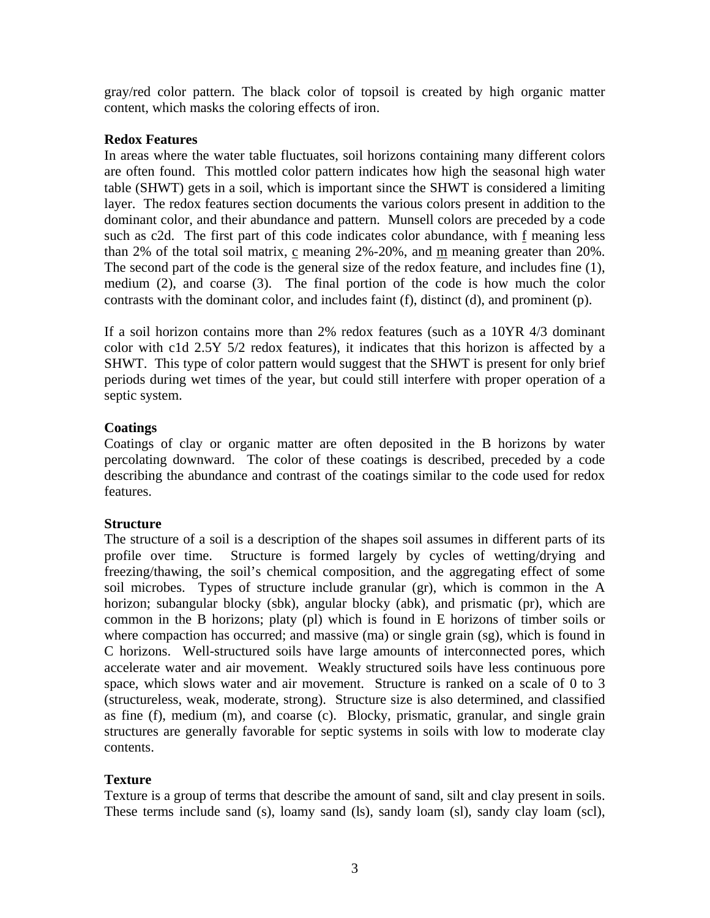gray/red color pattern. The black color of topsoil is created by high organic matter content, which masks the coloring effects of iron.

#### **Redox Features**

In areas where the water table fluctuates, soil horizons containing many different colors are often found. This mottled color pattern indicates how high the seasonal high water table (SHWT) gets in a soil, which is important since the SHWT is considered a limiting layer. The redox features section documents the various colors present in addition to the dominant color, and their abundance and pattern. Munsell colors are preceded by a code such as c2d. The first part of this code indicates color abundance, with f meaning less than 2% of the total soil matrix,  $\frac{c}{c}$  meaning 2%-20%, and  $\frac{m}{c}$  meaning greater than 20%. The second part of the code is the general size of the redox feature, and includes fine (1), medium (2), and coarse (3). The final portion of the code is how much the color contrasts with the dominant color, and includes faint (f), distinct (d), and prominent (p).

If a soil horizon contains more than 2% redox features (such as a 10YR 4/3 dominant color with c1d 2.5Y 5/2 redox features), it indicates that this horizon is affected by a SHWT. This type of color pattern would suggest that the SHWT is present for only brief periods during wet times of the year, but could still interfere with proper operation of a septic system.

# **Coatings**

Coatings of clay or organic matter are often deposited in the B horizons by water percolating downward. The color of these coatings is described, preceded by a code describing the abundance and contrast of the coatings similar to the code used for redox features.

# **Structure**

The structure of a soil is a description of the shapes soil assumes in different parts of its profile over time. Structure is formed largely by cycles of wetting/drying and freezing/thawing, the soil's chemical composition, and the aggregating effect of some soil microbes. Types of structure include granular (gr), which is common in the A horizon; subangular blocky (sbk), angular blocky (abk), and prismatic (pr), which are common in the B horizons; platy (pl) which is found in E horizons of timber soils or where compaction has occurred; and massive (ma) or single grain (sg), which is found in C horizons. Well-structured soils have large amounts of interconnected pores, which accelerate water and air movement. Weakly structured soils have less continuous pore space, which slows water and air movement. Structure is ranked on a scale of 0 to 3 (structureless, weak, moderate, strong). Structure size is also determined, and classified as fine (f), medium (m), and coarse (c). Blocky, prismatic, granular, and single grain structures are generally favorable for septic systems in soils with low to moderate clay contents.

# **Texture**

Texture is a group of terms that describe the amount of sand, silt and clay present in soils. These terms include sand (s), loamy sand (ls), sandy loam (sl), sandy clay loam (scl),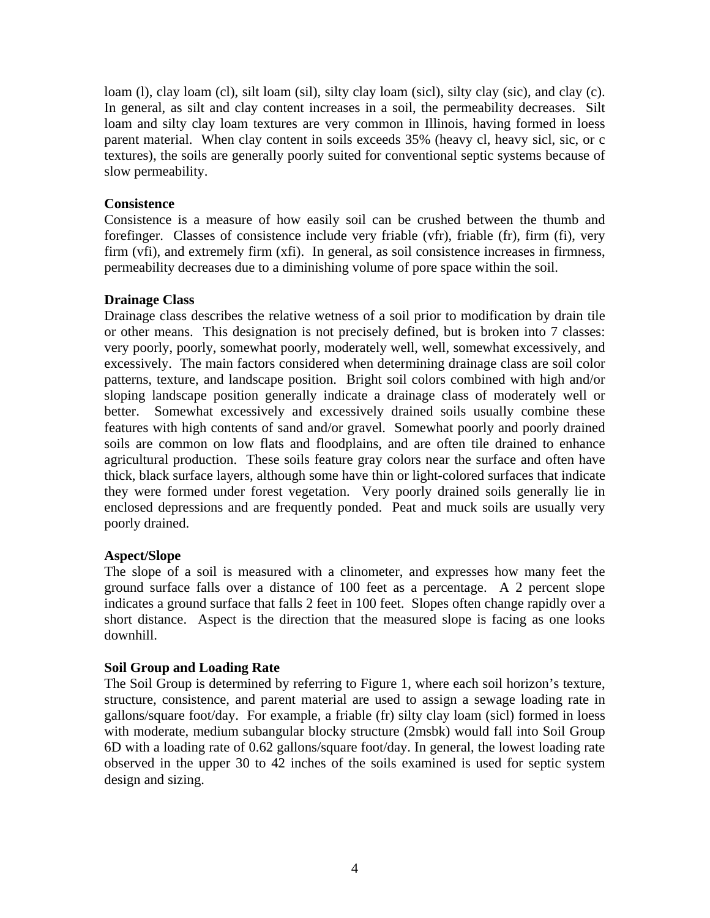loam (l), clay loam (cl), silt loam (sil), silty clay loam (sicl), silty clay (sic), and clay (c). In general, as silt and clay content increases in a soil, the permeability decreases. Silt loam and silty clay loam textures are very common in Illinois, having formed in loess parent material. When clay content in soils exceeds 35% (heavy cl, heavy sicl, sic, or c textures), the soils are generally poorly suited for conventional septic systems because of slow permeability.

#### **Consistence**

Consistence is a measure of how easily soil can be crushed between the thumb and forefinger. Classes of consistence include very friable (vfr), friable (fr), firm (fi), very firm (vfi), and extremely firm (xfi). In general, as soil consistence increases in firmness, permeability decreases due to a diminishing volume of pore space within the soil.

#### **Drainage Class**

Drainage class describes the relative wetness of a soil prior to modification by drain tile or other means. This designation is not precisely defined, but is broken into 7 classes: very poorly, poorly, somewhat poorly, moderately well, well, somewhat excessively, and excessively. The main factors considered when determining drainage class are soil color patterns, texture, and landscape position. Bright soil colors combined with high and/or sloping landscape position generally indicate a drainage class of moderately well or better. Somewhat excessively and excessively drained soils usually combine these features with high contents of sand and/or gravel. Somewhat poorly and poorly drained soils are common on low flats and floodplains, and are often tile drained to enhance agricultural production. These soils feature gray colors near the surface and often have thick, black surface layers, although some have thin or light-colored surfaces that indicate they were formed under forest vegetation. Very poorly drained soils generally lie in enclosed depressions and are frequently ponded. Peat and muck soils are usually very poorly drained.

# **Aspect/Slope**

The slope of a soil is measured with a clinometer, and expresses how many feet the ground surface falls over a distance of 100 feet as a percentage. A 2 percent slope indicates a ground surface that falls 2 feet in 100 feet. Slopes often change rapidly over a short distance. Aspect is the direction that the measured slope is facing as one looks downhill.

# **Soil Group and Loading Rate**

The Soil Group is determined by referring to Figure 1, where each soil horizon's texture, structure, consistence, and parent material are used to assign a sewage loading rate in gallons/square foot/day. For example, a friable (fr) silty clay loam (sicl) formed in loess with moderate, medium subangular blocky structure (2msbk) would fall into Soil Group 6D with a loading rate of 0.62 gallons/square foot/day. In general, the lowest loading rate observed in the upper 30 to 42 inches of the soils examined is used for septic system design and sizing.